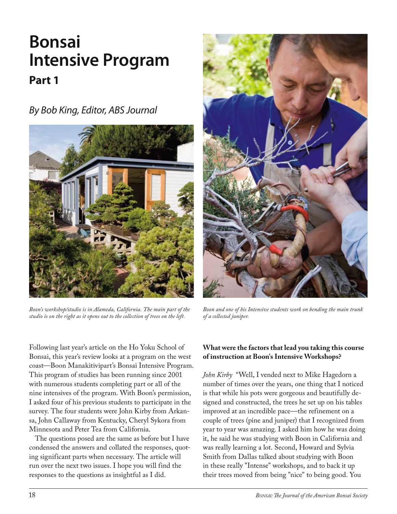# **Bonsai Intensive Program Part 1**

*By Bob King, Editor, ABS Journal*



*Boon's workshop/studio is in Alameda, California. The main part of the studio is on the right as it opens out to the collection of trees on the left.* 



*Boon and one of his Intensive students work on bending the main trunk of a collected juniper.* 

Following last year's article on the Ho Yoku School of Bonsai, this year's review looks at a program on the west coast—Boon Manakitivipart's Bonsai Intensive Program. This program of studies has been running since 2001 with numerous students completing part or all of the nine intensives of the program. With Boon's permission, I asked four of his previous students to participate in the survey. The four students were John Kirby from Arkansa, John Callaway from Kentucky, Cheryl Sykora from Minnesota and Peter Tea from California.

The questions posed are the same as before but I have condensed the answers and collated the responses, quoting significant parts when necessary. The article will run over the next two issues. I hope you will find the responses to the questions as insightful as I did.

# **What were the factors that lead you taking this course of instruction at Boon's Intensive Workshops?**

*John Kirby* "Well, I vended next to Mike Hagedorn a number of times over the years, one thing that I noticed is that while his pots were gorgeous and beautifully designed and constructed, the trees he set up on his tables improved at an incredible pace—the refinement on a couple of trees (pine and juniper) that I recognized from year to year was amazing. I asked him how he was doing it, he said he was studying with Boon in California and was really learning a lot. Second, Howard and Sylvia Smith from Dallas talked about studying with Boon in these really "Intense" workshops, and to back it up their trees moved from being "nice" to being good. You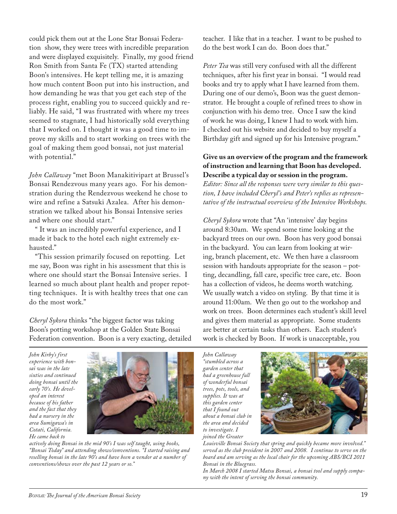could pick them out at the Lone Star Bonsai Federation show, they were trees with incredible preparation and were displayed exquisitely. Finally, my good friend Ron Smith from Santa Fe (TX) started attending Boon's intensives. He kept telling me, it is amazing how much content Boon put into his instruction, and how demanding he was that you get each step of the process right, enabling you to succeed quickly and reliably. He said, "I was frustrated with where my trees seemed to stagnate, I had historically sold everything that I worked on. I thought it was a good time to improve my skills and to start working on trees with the goal of making them good bonsai, not just material with potential."

*John Callaway* "met Boon Manakitivipart at Brussel's Bonsai Rendezvous many years ago. For his demonstration during the Rendezvous weekend he chose to wire and refine a Satsuki Azalea. After his demonstration we talked about his Bonsai Intensive series and where one should start."

" It was an incredibly powerful experience, and I made it back to the hotel each night extremely exhausted."

"This session primarily focused on repotting. Let me say, Boon was right in his assessment that this is where one should start the Bonsai Intensive series. I learned so much about plant health and proper repotting techniques. It is with healthy trees that one can do the most work."

*Cheryl Sykora* thinks "the biggest factor was taking Boon's potting workshop at the Golden State Bonsai Federation convention. Boon is a very exacting, detailed

teacher. I like that in a teacher. I want to be pushed to do the best work I can do. Boon does that."

*Peter Tea* was still very confused with all the different techniques, after his first year in bonsai. "I would read books and try to apply what I have learned from them. During one of our demo's, Boon was the guest demonstrator. He brought a couple of refined trees to show in conjunction with his demo tree. Once I saw the kind of work he was doing, I knew I had to work with him. I checked out his website and decided to buy myself a Birthday gift and signed up for his Intensive program."

### **Give us an overview of the program and the framework of instruction and learning that Boon has developed. Describe a typical day or session in the program.**

*Editor: Since all the responses were very similar to this question, I have included Cheryl's and Peter's replies as representative of the instructual overview of the Intensive Workshops.* 

*Cheryl Sykora* wrote that "An 'intensive' day begins around 8:30am. We spend some time looking at the backyard trees on our own. Boon has very good bonsai in the backyard. You can learn from looking at wiring, branch placement, etc. We then have a classroom session with handouts appropriate for the season – potting, decandling, fall care, specific tree care, etc. Boon has a collection of videos, he deems worth watching. We usually watch a video on styling. By that time it is around 11:00am. We then go out to the workshop and work on trees. Boon determines each student's skill level and gives them material as appropriate. Some students are better at certain tasks than others. Each student's work is checked by Boon. If work is unacceptable, you

*John Kirby's first experience with bonsai was in the late sixties and continued doing bonsai until the early 70's. He developed an interest because of his father and the fact that they had a nursery in the area Sumigawa's in Cotati, California. He came back to* 



*actively doing Bonsai in the mid 90's I was self taught, using books, "Bonsai Today" and attending shows/conventions. "I started raising and reselling bonsai in the late 90's and have been a vendor at a number of conventions/shows over the past 12 years or so."*

*John Callaway "stumbled across a garden center that had a greenhouse full of wonderful bonsai trees, pots, tools, and supplies. It was at this garden center that I found out about a bonsai club in the area and decided to investigate. I joined the Greater* 



*Louisville Bonsai Society that spring and quickly became more involved." served as the club president in 2007 and 2008. I continue to serve on the board and am serving as the local chair for the upcoming ABS/BCI 2011 Bonsai in the Bluegrass.*

*In March 2008 I started Matsu Bonsai, a bonsai tool and supply company with the intent of serving the bonsai community.*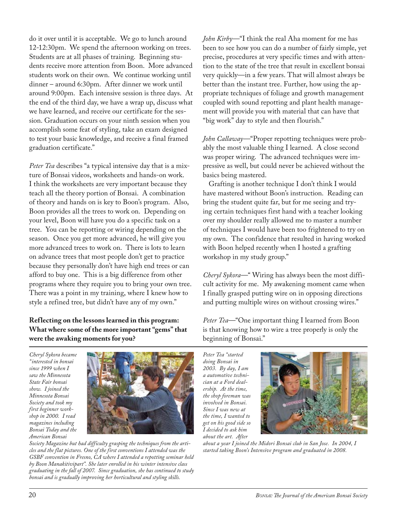do it over until it is acceptable. We go to lunch around 12-12:30pm. We spend the afternoon working on trees. Students are at all phases of training. Beginning students receive more attention from Boon. More advanced students work on their own. We continue working until dinner – around 6:30pm. After dinner we work until around 9:00pm. Each intensive session is three days. At the end of the third day, we have a wrap up, discuss what we have learned, and receive our certificate for the session. Graduation occurs on your ninth session when you accomplish some feat of styling, take an exam designed to test your basic knowledge, and receive a final framed graduation certificate."

*Peter Tea* describes "a typical intensive day that is a mixture of Bonsai videos, worksheets and hands-on work. I think the worksheets are very important because they teach all the theory portion of Bonsai. A combination of theory and hands on is key to Boon's program. Also, Boon provides all the trees to work on. Depending on your level, Boon will have you do a specific task on a tree. You can be repotting or wiring depending on the season. Once you get more advanced, he will give you more advanced trees to work on. There is lots to learn on advance trees that most people don't get to practice because they personally don't have high end trees or can afford to buy one. This is a big difference from other programs where they require you to bring your own tree. There was a point in my training, where I knew how to style a refined tree, but didn't have any of my own."

# **Reflecting on the lessons learned in this program: What where some of the more important "gems" that were the awaking moments for you?**

*Cheryl Sykora became "interested in bonsai since 1999 when I saw the Minnesota State Fair bonsai show. I joined the Minnesota Bonsai Society and took my first beginner workshop in 2000. I read magazines including Bonsai Today and the American Bonsai* 



*Society Magazine but had difficulty grasping the techniques from the articles and the flat pictures. One of the first conventions I attended was the GSBF convention in Fresno, CA where I attended a repotting seminar held by Boon Manakitivipart". She later enrolled in his winter intensive class graduating in the fall of 2007. Since graduation, she has continued to study bonsai and is gradually improving her horticultural and styling skills.* 

*John Kirby*—"I think the real Aha moment for me has been to see how you can do a number of fairly simple, yet precise, procedures at very specific times and with attention to the state of the tree that result in excellent bonsai very quickly—in a few years. That will almost always be better than the instant tree. Further, how using the appropriate techniques of foliage and growth management coupled with sound repotting and plant health management will provide you with material that can have that "big work" day to style and then flourish."

*John Callaway*—"Proper repotting techniques were probably the most valuable thing I learned. A close second was proper wiring. The advanced techniques were impressive as well, but could never be achieved without the basics being mastered.

Grafting is another technique I don't think I would have mastered without Boon's instruction. Reading can bring the student quite far, but for me seeing and trying certain techniques first hand with a teacher looking over my shoulder really allowed me to master a number of techniques I would have been too frightened to try on my own. The confidence that resulted in having worked with Boon helped recently when I hosted a grafting workshop in my study group."

*Cheryl Sykora*—" Wiring has always been the most difficult activity for me. My awakening moment came when I finally grasped putting wire on in opposing directions and putting multiple wires on without crossing wires."

*Peter Tea*—"One important thing I learned from Boon is that knowing how to wire a tree properly is only the beginning of Bonsai."

*Peter Tea "started doing Bonsai in 2003. By day, I am a automotive technician at a Ford dealership. At the time, the shop foreman was involved in Bonsai. Since I was new at the time, I wanted to get on his good side so I decided to ask him about the art. After* 



*about a year I joined the Midori Bonsai club in San Jose. In 2004, I started taking Boon's Intensive program and graduated in 2008.*